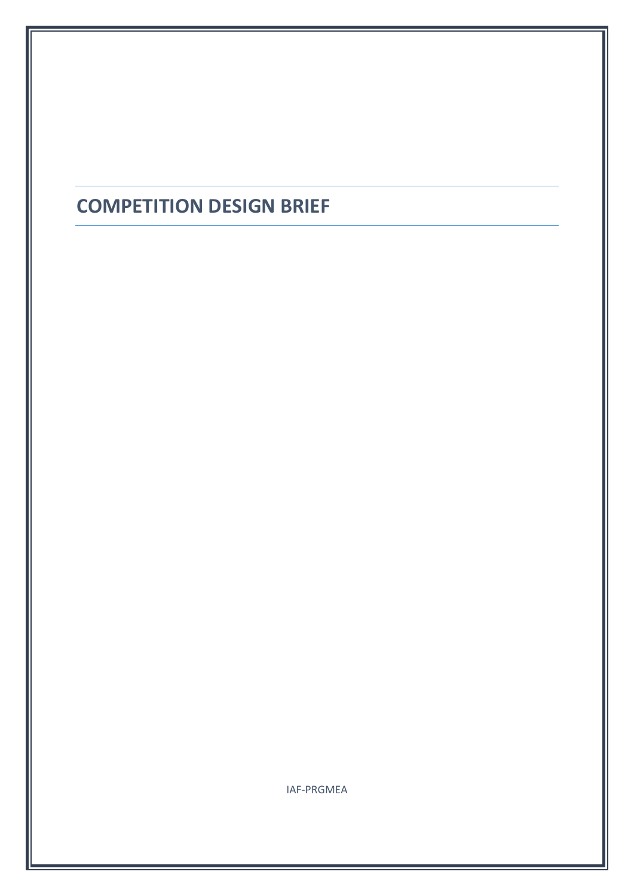## **COMPETITION DESIGN BRIEF**

IAF-PRGMEA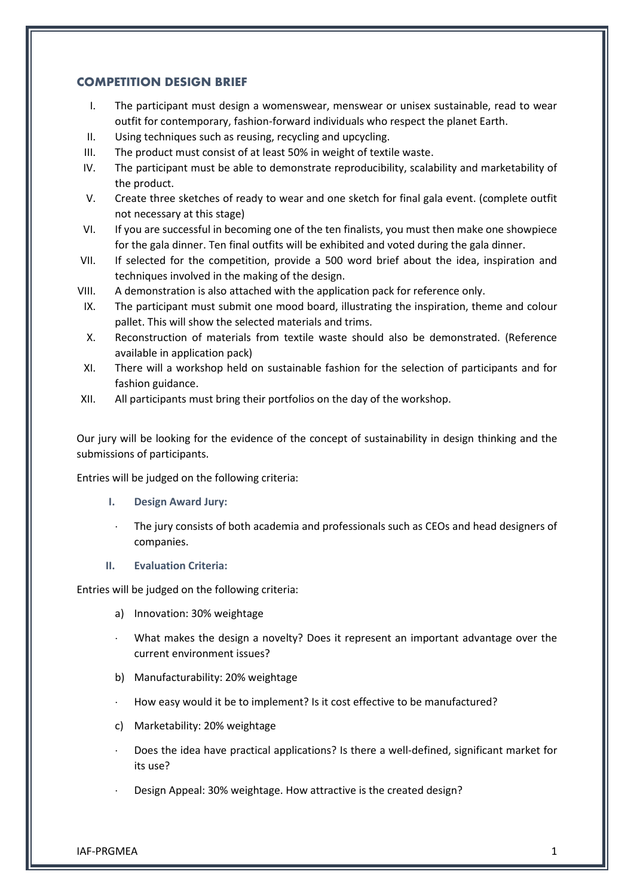## **COMPETITION DESIGN BRIEF**

- I. The participant must design a womenswear, menswear or unisex sustainable, read to wear outfit for contemporary, fashion-forward individuals who respect the planet Earth.
- II. Using techniques such as reusing, recycling and upcycling.
- III. The product must consist of at least 50% in weight of textile waste.
- IV. The participant must be able to demonstrate reproducibility, scalability and marketability of the product.
- V. Create three sketches of ready to wear and one sketch for final gala event. (complete outfit not necessary at this stage)
- VI. If you are successful in becoming one of the ten finalists, you must then make one showpiece for the gala dinner. Ten final outfits will be exhibited and voted during the gala dinner.
- VII. If selected for the competition, provide a 500 word brief about the idea, inspiration and techniques involved in the making of the design.
- VIII. A demonstration is also attached with the application pack for reference only.
- IX. The participant must submit one mood board, illustrating the inspiration, theme and colour pallet. This will show the selected materials and trims.
- X. Reconstruction of materials from textile waste should also be demonstrated. (Reference available in application pack)
- XI. There will a workshop held on sustainable fashion for the selection of participants and for fashion guidance.
- XII. All participants must bring their portfolios on the day of the workshop.

Our jury will be looking for the evidence of the concept of sustainability in design thinking and the submissions of participants.

Entries will be judged on the following criteria:

- **I. Design Award Jury:**
- The jury consists of both academia and professionals such as CEOs and head designers of companies.
- **II. Evaluation Criteria:**

Entries will be judged on the following criteria:

- a) Innovation: 30% weightage
- What makes the design a novelty? Does it represent an important advantage over the current environment issues?
- b) Manufacturability: 20% weightage
- How easy would it be to implement? Is it cost effective to be manufactured?
- c) Marketability: 20% weightage
- Does the idea have practical applications? Is there a well-defined, significant market for its use?
- Design Appeal: 30% weightage. How attractive is the created design?